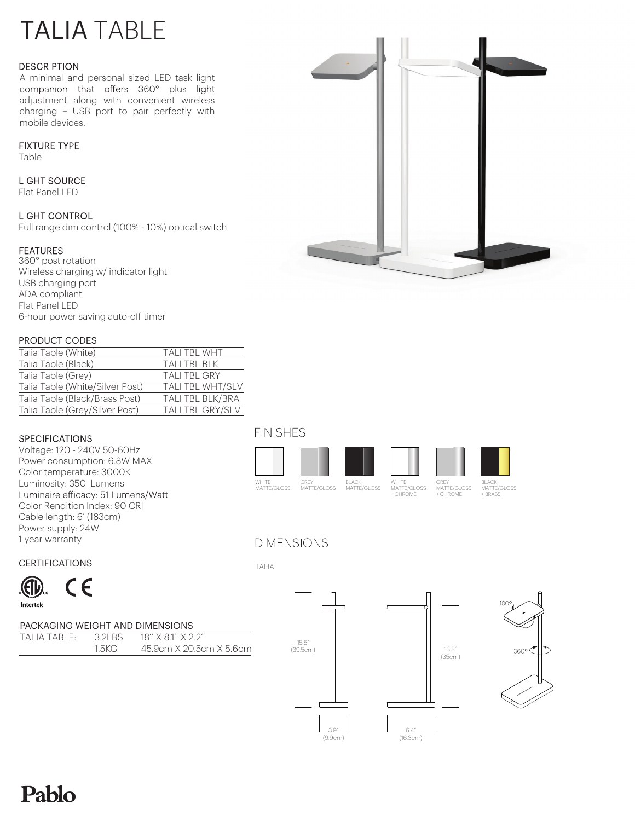# TALIA TABLE

### **DESCRIPTION**

A minimal and personal sized LED task light<br>companion that offers 360° plus light adjustment along with convenient wireless charging + USB port to pair perfectly with mobile devices.

### **FIXTURF TYPF**

Table

### **LIGHT SOURCE**

Flat Panel LED

### **LIGHT CONTROL**

Full range dim control (100% - 10%) optical switch

# **FEATURES**

360° post rotation Wireless charging w/ indicator light USB charging port ADA compliant Flat Panel LED 6-hour power saving auto-off timer

### PRODUCT CODES

| Talia Table (White)             | <b>TALI TBL WHT</b>     |
|---------------------------------|-------------------------|
| Talia Table (Black)             | TALI TBL BLK            |
| Talia Table (Grey)              | <b>TALI TBL GRY</b>     |
| Talia Table (White/Silver Post) | <b>TALI TBL WHT/SLV</b> |
| Talia Table (Black/Brass Post)  | TALI TBL BLK/BRA        |
| Talia Table (Grey/Silver Post)  | <b>TALI TBL GRY/SLV</b> |

## **SPECIFICATIONS**

Voltage: 120 - 240V 50-60Hz Power consumption: 6.8W MAX Color temperature: 3000K Luminosity: 350 Lumens Luminaire efficacy: 51 Lumens/Watt Color Rendition Index: 90 CRI Cable length: 6' (183cm) Power supply: 24W 1 year warranty

# **FINISHES**



# **DIMENSIONS**

TALIA

**CERTIFICATIONS** 



## PACKAGING WEIGHT AND DIMENSIONS

| TALIA TABLE: | 3 2 B.S | $18''$ X $81''$ X $22''$ |
|--------------|---------|--------------------------|
|              | 1.5KG 1 | 45.9cm X 20.5cm X 5.6cm  |



3.9" (9.9cm)







WHITE<br>MATTE/GLOSS

GREY MATTE/GLOSS + CHROME

BLACK MATTE/GLOSS + BRASS